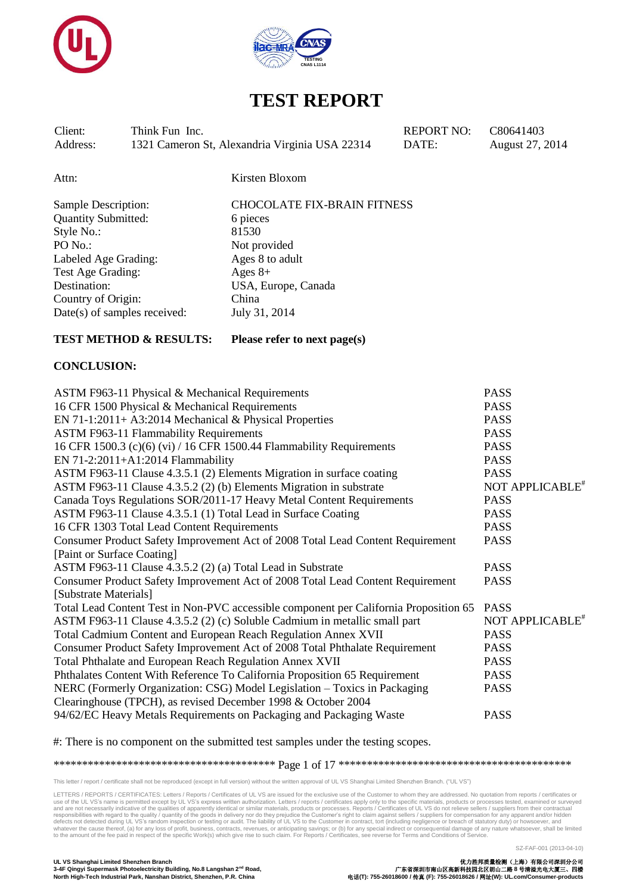



Client: Think Fun Inc. REPORT NO: C80641403 Address: 1321 Cameron St, Alexandria Virginia USA 22314 DATE: August 27, 2014

Attn: Kirsten Bloxom

| <b>Sample Description:</b>   | <b>CHOCOLATE FIX-BRAIN FITNESS</b> |
|------------------------------|------------------------------------|
| <b>Quantity Submitted:</b>   | 6 pieces                           |
| Style No.:                   | 81530                              |
| PO No.:                      | Not provided                       |
| Labeled Age Grading:         | Ages 8 to adult                    |
| Test Age Grading:            | Ages $8+$                          |
| Destination:                 | USA, Europe, Canada                |
| Country of Origin:           | China                              |
| Date(s) of samples received: | July 31, 2014                      |
|                              |                                    |

## **TEST METHOD & RESULTS: Please refer to next page(s)**

## **CONCLUSION:**

| ASTM F963-11 Physical & Mechanical Requirements                                       | <b>PASS</b>                 |
|---------------------------------------------------------------------------------------|-----------------------------|
| 16 CFR 1500 Physical & Mechanical Requirements                                        | <b>PASS</b>                 |
| EN 71-1:2011+ A3:2014 Mechanical & Physical Properties                                | <b>PASS</b>                 |
| <b>ASTM F963-11 Flammability Requirements</b>                                         | <b>PASS</b>                 |
| 16 CFR 1500.3 (c)(6) (vi) / 16 CFR 1500.44 Flammability Requirements                  | <b>PASS</b>                 |
| EN 71-2:2011+A1:2014 Flammability                                                     | <b>PASS</b>                 |
| ASTM F963-11 Clause 4.3.5.1 (2) Elements Migration in surface coating                 | <b>PASS</b>                 |
| ASTM F963-11 Clause 4.3.5.2 (2) (b) Elements Migration in substrate                   | NOT APPLICABLE <sup>#</sup> |
| Canada Toys Regulations SOR/2011-17 Heavy Metal Content Requirements                  | <b>PASS</b>                 |
| ASTM F963-11 Clause 4.3.5.1 (1) Total Lead in Surface Coating                         | <b>PASS</b>                 |
| 16 CFR 1303 Total Lead Content Requirements                                           | <b>PASS</b>                 |
| Consumer Product Safety Improvement Act of 2008 Total Lead Content Requirement        | <b>PASS</b>                 |
| [Paint or Surface Coating]                                                            |                             |
| ASTM F963-11 Clause 4.3.5.2 (2) (a) Total Lead in Substrate                           | <b>PASS</b>                 |
| Consumer Product Safety Improvement Act of 2008 Total Lead Content Requirement        | <b>PASS</b>                 |
| [Substrate Materials]                                                                 |                             |
| Total Lead Content Test in Non-PVC accessible component per California Proposition 65 | <b>PASS</b>                 |
| ASTM F963-11 Clause 4.3.5.2 (2) (c) Soluble Cadmium in metallic small part            | NOT APPLICABLE <sup>#</sup> |
| Total Cadmium Content and European Reach Regulation Annex XVII                        | <b>PASS</b>                 |
| Consumer Product Safety Improvement Act of 2008 Total Phthalate Requirement           | <b>PASS</b>                 |
| Total Phthalate and European Reach Regulation Annex XVII                              | <b>PASS</b>                 |
| Phthalates Content With Reference To California Proposition 65 Requirement            | <b>PASS</b>                 |
| NERC (Formerly Organization: CSG) Model Legislation - Toxics in Packaging             | <b>PASS</b>                 |
| Clearinghouse (TPCH), as revised December 1998 & October 2004                         |                             |
| 94/62/EC Heavy Metals Requirements on Packaging and Packaging Waste                   | <b>PASS</b>                 |

#: There is no component on the submitted test samples under the testing scopes.

\*\*\*\*\*\*\*\*\*\*\*\*\*\*\*\*\*\*\*\*\*\*\*\*\*\*\*\*\*\*\*\*\*\*\*\*\*\*\* Page 1 of 17 \*\*\*\*\*\*\*\*\*\*\*\*\*\*\*\*\*\*\*\*\*\*\*\*\*\*\*\*\*\*\*\*\*\*\*\*\*\*\*\*\*

This letter / report / certificate shall not be reproduced (except in full version) without the written approval of UL VS Shanghai Limited Shenzhen Branch. ("UL VS")

LETTERS / REPORTS / CERTIFICATES: Letters / Reports / Certificates of UL VS are issued for the exclusive use of the Customer to whom they are addressed. No quotation from reports / certificates or use of the UL VS's name is permitted except by UL VS's express written authorization. Letters/reports/certificates apply only to the specific materials, products or processes tested, examined or surveyed<br>and are not necess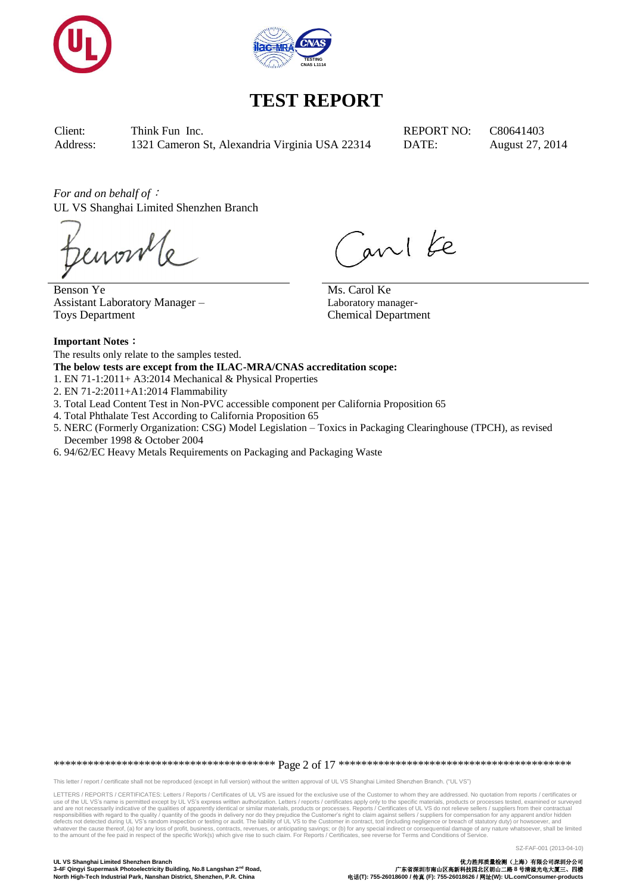



Client: Think Fun Inc. REPORT NO: C80641403 Address: 1321 Cameron St, Alexandria Virginia USA 22314 DATE: August 27, 2014

*For and on behalf of*: UL VS Shanghai Limited Shenzhen Branch

Benson Ye Assistant Laboratory Manager – Toys Department

ani ke

Ms. Carol Ke Laboratory manager-Chemical Department

## **Important Notes**:

The results only relate to the samples tested.

**The below tests are except from the ILAC-MRA/CNAS accreditation scope:**

- 1. EN 71-1:2011+ A3:2014 Mechanical & Physical Properties
- 2. EN 71-2:2011+A1:2014 Flammability
- 3. Total Lead Content Test in Non-PVC accessible component per California Proposition 65
- 4. Total Phthalate Test According to California Proposition 65
- 5. NERC (Formerly Organization: CSG) Model Legislation Toxics in Packaging Clearinghouse (TPCH), as revised December 1998 & October 2004
- 6. 94/62/EC Heavy Metals Requirements on Packaging and Packaging Waste

\*\*\*\*\*\*\*\*\*\*\*\*\*\*\*\*\*\*\*\*\*\*\*\*\*\*\*\*\*\*\*\*\*\*\*\*\*\*\* Page 2 of 17 \*\*\*\*\*\*\*\*\*\*\*\*\*\*\*\*\*\*\*\*\*\*\*\*\*\*\*\*\*\*\*\*\*\*\*\*\*\*\*\*\*

This letter / report / certificate shall not be reproduced (except in full version) without the written approval of UL VS Shanghai Limited Shenzhen Branch. ("UL VS")

LETTERS / REPORTS / CERTIFICATES: Letters / Reports / Certificates of UL VS are issued for the exclusive use of the Customer to whom they are addressed. No quotation from reports / certificates or use of the UL VS's name is permitted except by UL VS's express written authorization. Letters/reports/certificates apply only to the specific materials, products or processes tested, examined or surveyed<br>and are not necess

**UL VS Shanghai Limited Shenzhen Branch** 优力胜邦质量检测(上海)有限公司深圳分公司 **North High-Tech Industrial Park, Nanshan District, Shenzhen, P.R. China** 电话**(T): 755-26018600 /** 传真 **(F): 755-26018626 /** 网址**(W): UL.com/Consumer-products**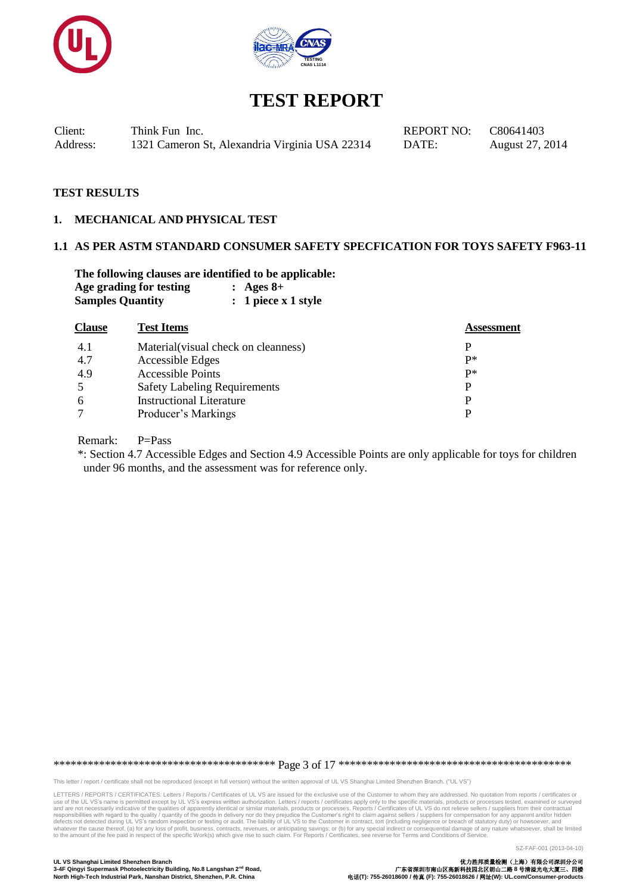



Client: Think Fun Inc. REPORT NO: C80641403 Address: 1321 Cameron St, Alexandria Virginia USA 22314 DATE: August 27, 2014

#### **TEST RESULTS**

#### **1. MECHANICAL AND PHYSICAL TEST**

#### **1.1 AS PER ASTM STANDARD CONSUMER SAFETY SPECFICATION FOR TOYS SAFETY F963-11**

**The following clauses are identified to be applicable: Age grading for testing : Ages 8+ Samples Quantity : 1 piece x 1 style**

| <b>Clause</b> | <b>Test Items</b>                    | Assessment |
|---------------|--------------------------------------|------------|
| 4.1           | Material (visual check on cleanness) |            |
| 4.7           | Accessible Edges                     | p*         |
| 4.9           | <b>Accessible Points</b>             | $p*$       |
| -5            | <b>Safety Labeling Requirements</b>  | D          |
| 6             | <b>Instructional Literature</b>      |            |
|               | Producer's Markings                  |            |
|               |                                      |            |

Remark: P=Pass

 \*: Section 4.7 Accessible Edges and Section 4.9 Accessible Points are only applicable for toys for children under 96 months, and the assessment was for reference only.

\*\*\*\*\*\*\*\*\*\*\*\*\*\*\*\*\*\*\*\*\*\*\*\*\*\*\*\*\*\*\*\*\*\*\*\*\*\*\* Page 3 of 17 \*\*\*\*\*\*\*\*\*\*\*\*\*\*\*\*\*\*\*\*\*\*\*\*\*\*\*\*\*\*\*\*\*\*\*\*\*\*\*\*\*

This letter / report / certificate shall not be reproduced (except in full version) without the written approval of UL VS Shanghai Limited Shenzhen Branch. ("UL VS")

LETTERS / REPORTS / CERTIFICATES: Letters / Reports / Certificates of UL VS are issued for the exclusive use of the Customer to whom they are addressed. No quotation from reports / certificates or use of the UL VS's name is permitted except by UL VS's express written authorization. Letters/reports/certificates apply only to the specific materials, products or processes tested, examined or surveyed<br>and are not necess

SZ-FAF-001 (2013-04-10)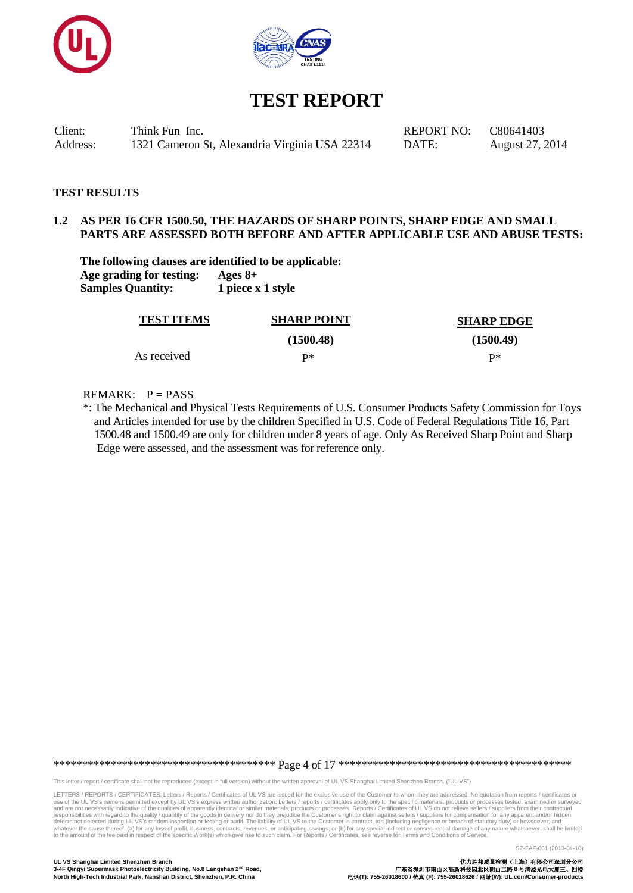



Client: Think Fun Inc. REPORT NO: C80641403 Address: 1321 Cameron St, Alexandria Virginia USA 22314 DATE: August 27, 2014

#### **TEST RESULTS**

#### **1.2 AS PER 16 CFR 1500.50, THE HAZARDS OF SHARP POINTS, SHARP EDGE AND SMALL PARTS ARE ASSESSED BOTH BEFORE AND AFTER APPLICABLE USE AND ABUSE TESTS:**

**The following clauses are identified to be applicable: Age grading for testing: Ages 8+ Samples Quantity: 1 piece x 1 style**

| <b>TEST ITEMS</b> | <b>SHARP POINT</b> | <b>SHARP EDGE</b> |
|-------------------|--------------------|-------------------|
|                   | (1500.48)          | (1500.49)         |
| As received       | D*                 | р∗                |

#### REMARK:  $P = PASS$

\*: The Mechanical and Physical Tests Requirements of U.S. Consumer Products Safety Commission for Toys and Articles intended for use by the children Specified in U.S. Code of Federal Regulations Title 16, Part 1500.48 and 1500.49 are only for children under 8 years of age. Only As Received Sharp Point and Sharp Edge were assessed, and the assessment was for reference only.

\*\*\*\*\*\*\*\*\*\*\*\*\*\*\*\*\*\*\*\*\*\*\*\*\*\*\*\*\*\*\*\*\*\*\*\*\*\*\* Page 4 of 17 \*\*\*\*\*\*\*\*\*\*\*\*\*\*\*\*\*\*\*\*\*\*\*\*\*\*\*\*\*\*\*\*\*\*\*\*\*\*\*\*\*

This letter / report / certificate shall not be reproduced (except in full version) without the written approval of UL VS Shanghai Limited Shenzhen Branch. ("UL VS")

LETTERS / REPORTS / CERTIFICATES: Letters / Reports / Certificates of UL VS are issued for the exclusive use of the Customer to whom they are addressed. No quotation from reports / certificates or use of the UL VS's name is permitted except by UL VS's express written authorization. Letters/reports/certificates apply only to the specific materials, products or processes tested, examined or surveyed<br>and are not necess

SZ-FAF-001 (2013-04-10)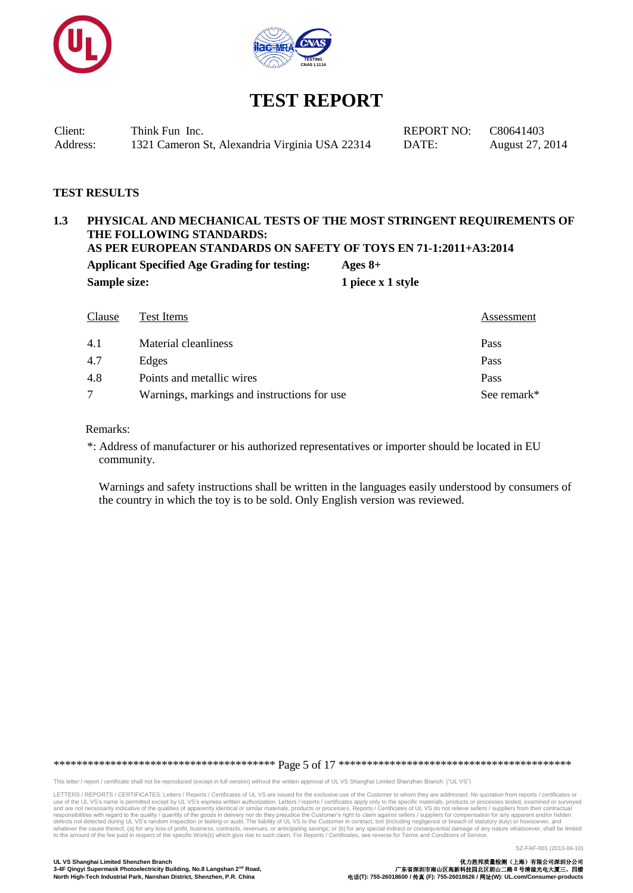



Client: Think Fun Inc. REPORT NO: C80641403 Address: 1321 Cameron St, Alexandria Virginia USA 22314 DATE: August 27, 2014

#### **TEST RESULTS**

## **1.3 PHYSICAL AND MECHANICAL TESTS OF THE MOST STRINGENT REQUIREMENTS OF THE FOLLOWING STANDARDS: AS PER EUROPEAN STANDARDS ON SAFETY OF TOYS EN 71-1:2011+A3:2014 Applicant Specified Age Grading for testing: Ages 8+ Sample size:** 1 piece x 1 style

| Clause | Test Items                                  | Assessment  |
|--------|---------------------------------------------|-------------|
| 4.1    | Material cleanliness                        | Pass        |
| 4.7    | Edges                                       | Pass        |
| 4.8    | Points and metallic wires                   | Pass        |
|        | Warnings, markings and instructions for use | See remark* |

#### Remarks:

\*: Address of manufacturer or his authorized representatives or importer should be located in EU community.

 Warnings and safety instructions shall be written in the languages easily understood by consumers of the country in which the toy is to be sold. Only English version was reviewed.

\*\*\*\*\*\*\*\*\*\*\*\*\*\*\*\*\*\*\*\*\*\*\*\*\*\*\*\*\*\*\*\*\*\*\*\*\*\*\* Page 5 of 17 \*\*\*\*\*\*\*\*\*\*\*\*\*\*\*\*\*\*\*\*\*\*\*\*\*\*\*\*\*\*\*\*\*\*\*\*\*\*\*\*\*

This letter / report / certificate shall not be reproduced (except in full version) without the written approval of UL VS Shanghai Limited Shenzhen Branch. ("UL VS")

LETTERS / REPORTS / CERTIFICATES: Letters / Reports / Certificates of UL VS are issued for the exclusive use of the Customer to whom they are addressed. No quotation from reports / certificates or use of the UL VS's name is permitted except by UL VS's express written authorization. Letters/reports/certificates apply only to the specific materials, products or processes tested, examined or surveyed<br>and are not necess

SZ-FAF-001 (2013-04-10)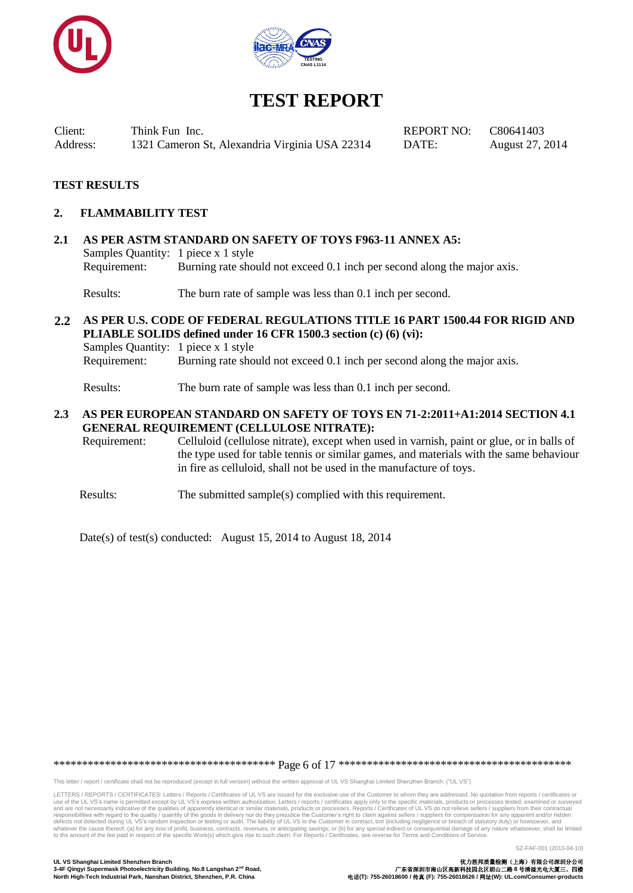



Client: Think Fun Inc. REPORT NO: C80641403 Address: 1321 Cameron St, Alexandria Virginia USA 22314 DATE: August 27, 2014

## **TEST RESULTS**

#### **2. FLAMMABILITY TEST**

**2.1 AS PER ASTM STANDARD ON SAFETY OF TOYS F963-11 ANNEX A5:** Samples Quantity: 1 piece x 1 style Requirement: Burning rate should not exceed 0.1 inch per second along the major axis.

Results: The burn rate of sample was less than 0.1 inch per second.

#### **2.2 AS PER U.S. CODE OF FEDERAL REGULATIONS TITLE 16 PART 1500.44 FOR RIGID AND PLIABLE SOLIDS defined under 16 CFR 1500.3 section (c) (6) (vi):** Samples Quantity: 1 piece x 1 style

Requirement: Burning rate should not exceed 0.1 inch per second along the major axis.

Results: The burn rate of sample was less than 0.1 inch per second.

#### **2.3 AS PER EUROPEAN STANDARD ON SAFETY OF TOYS EN 71-2:2011+A1:2014 SECTION 4.1 GENERAL REQUIREMENT (CELLULOSE NITRATE):**

Requirement: Celluloid (cellulose nitrate), except when used in varnish, paint or glue, or in balls of the type used for table tennis or similar games, and materials with the same behaviour in fire as celluloid, shall not be used in the manufacture of toys.

Results: The submitted sample(s) complied with this requirement.

Date(s) of test(s) conducted: August 15, 2014 to August 18, 2014

\*\*\*\*\*\*\*\*\*\*\*\*\*\*\*\*\*\*\*\*\*\*\*\*\*\*\*\*\*\*\*\*\*\*\*\*\*\*\* Page 6 of 17 \*\*\*\*\*\*\*\*\*\*\*\*\*\*\*\*\*\*\*\*\*\*\*\*\*\*\*\*\*\*\*\*\*\*\*\*\*\*\*\*\*

This letter / report / certificate shall not be reproduced (except in full version) without the written approval of UL VS Shanghai Limited Shenzhen Branch. ("UL VS")

LETTERS / REPORTS / CERTIFICATES: Letters / Reports / Certificates of UL VS are issued for the exclusive use of the Customer to whom they are addressed. No quotation from reports / certificates or use of the UL VS's name is permitted except by UL VS's express written authorization. Letters/reports/certificates apply only to the specific materials, products or processes tested, examined or surveyed<br>and are not necess

**UL VS Shanghai Limited Shenzhen Branch** 优力胜邦质量检测(上海)有限公司深圳分公司 **North High-Tech Industrial Park, Nanshan District, Shenzhen, P.R. China** 电话**(T): 755-26018600 /** 传真 **(F): 755-26018626 /** 网址**(W): UL.com/Consumer-products**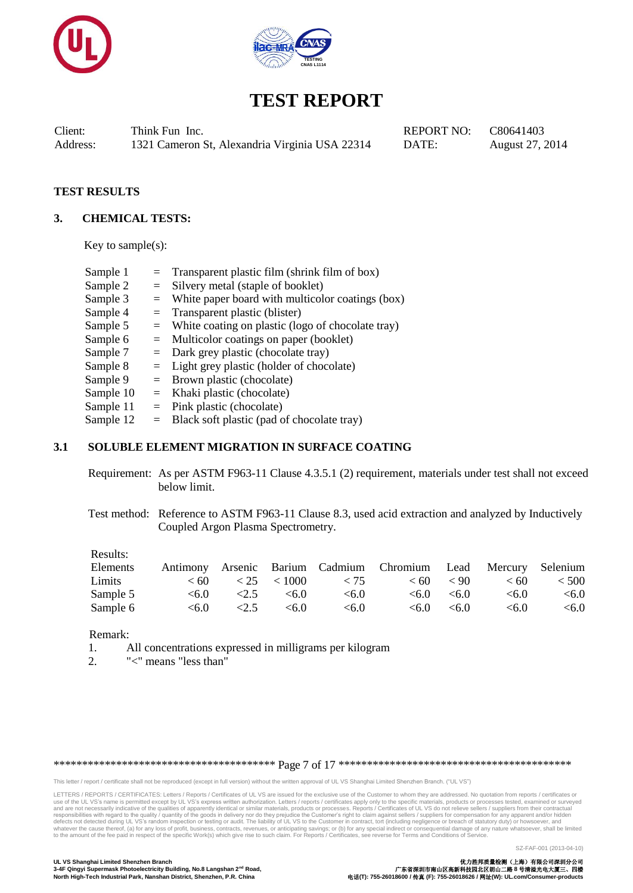



Client: Think Fun Inc. REPORT NO: C80641403 Address: 1321 Cameron St, Alexandria Virginia USA 22314 DATE: August 27, 2014

#### **TEST RESULTS**

#### **3. CHEMICAL TESTS:**

Key to sample $(s)$ :

| Sample 1  |     | $=$ Transparent plastic film (shrink film of box)     |
|-----------|-----|-------------------------------------------------------|
| Sample 2  | $=$ | Silvery metal (staple of booklet)                     |
| Sample 3  | $=$ | White paper board with multicolor coatings (box)      |
| Sample 4  | $=$ | Transparent plastic (blister)                         |
| Sample 5  |     | $=$ White coating on plastic (logo of chocolate tray) |
| Sample 6  |     | $=$ Multicolor coatings on paper (booklet)            |
| Sample 7  |     | $=$ Dark grey plastic (chocolate tray)                |
| Sample 8  |     | $=$ Light grey plastic (holder of chocolate)          |
| Sample 9  |     | $=$ Brown plastic (chocolate)                         |
| Sample 10 | $=$ | Khaki plastic (chocolate)                             |
| Sample 11 |     | $=$ Pink plastic (chocolate)                          |
| Sample 12 |     | $=$ Black soft plastic (pad of chocolate tray)        |

## **3.1 SOLUBLE ELEMENT MIGRATION IN SURFACE COATING**

Requirement: As per ASTM F963-11 Clause 4.3.5.1 (2) requirement, materials under test shall not exceed below limit.

Test method: Reference to ASTM F963-11 Clause 8.3, used acid extraction and analyzed by Inductively Coupled Argon Plasma Spectrometry.

#### Results:

|      |       |                       |                                                                                       |                                              | < 500                                                                                            |
|------|-------|-----------------------|---------------------------------------------------------------------------------------|----------------------------------------------|--------------------------------------------------------------------------------------------------|
|      | < 6.0 | < 6.0                 |                                                                                       | < 6.0                                        | < 6.0                                                                                            |
| <2.5 | < 6.0 | < 6.0                 |                                                                                       | < 6.0                                        | <6.0                                                                                             |
|      | < 6.0 | $\leq 6.0$ $\leq 2.5$ | $\langle 60 \rangle$ $\langle 25 \rangle$ $\langle 1000 \rangle$ $\langle 75 \rangle$ | $\leq 6.0 \leq 6.0$<br>$\leq 6.0$ $\leq 6.0$ | Antimony Arsenic Barium Cadmium Chromium Lead Mercury Selenium<br>$\leq 60 \leq 90$<br>$\leq 60$ |

#### Remark:

- 1. All concentrations expressed in milligrams per kilogram
- 2. "<" means "less than"

\*\*\*\*\*\*\*\*\*\*\*\*\*\*\*\*\*\*\*\*\*\*\*\*\*\*\*\*\*\*\*\*\*\*\*\*\*\*\* Page 7 of 17 \*\*\*\*\*\*\*\*\*\*\*\*\*\*\*\*\*\*\*\*\*\*\*\*\*\*\*\*\*\*\*\*\*\*\*\*\*\*\*\*\*

This letter / report / certificate shall not be reproduced (except in full version) without the written approval of UL VS Shanghai Limited Shenzhen Branch. ("UL VS")

LETTERS / REPORTS / CERTIFICATES: Letters / Reports / Certificates of UL VS are issued for the exclusive use of the Customer to whom they are addressed. No quotation from reports / certificates or use of the UL VS's name is permitted except by UL VS's express written authorization. Letters/reports/certificates apply only to the specific materials, products or processes tested, examined or surveyed<br>and are not necess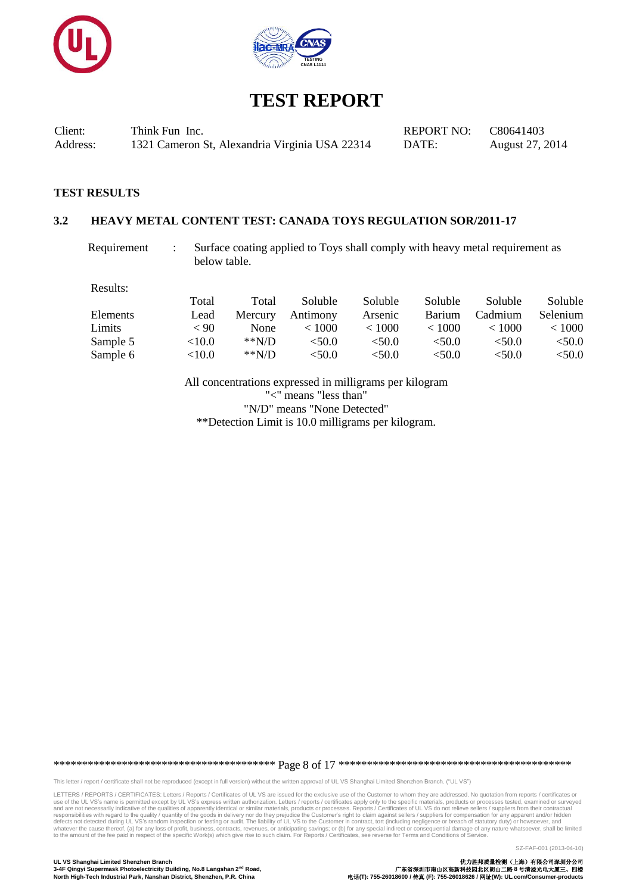



Client: Think Fun Inc. REPORT NO: C80641403 Address: 1321 Cameron St, Alexandria Virginia USA 22314 DATE: August 27, 2014

#### **TEST RESULTS**

#### **3.2 HEAVY METAL CONTENT TEST: CANADA TOYS REGULATION SOR/2011-17**

Requirement : Surface coating applied to Toys shall comply with heavy metal requirement as below table.

Results:

|          | Total     | Total   | Soluble  | Soluble | <b>Soluble</b> | Soluble | Soluble      |
|----------|-----------|---------|----------|---------|----------------|---------|--------------|
| Elements | Lead      | Mercury | Antimony | Arsenic | <b>Barium</b>  | Cadmium | Selenium     |
| Limits   | < 90      | None    | < 1000   | < 1000  | < 1000         | < 1000  | ${}_{<}1000$ |
| Sample 5 | ${<}10.0$ | $*N/D$  | < 50.0   | < 50.0  | <50.0          | < 50.0  | <50.0        |
| Sample 6 | <10.0     | $*N/D$  | <50.0    | < 50.0  | < 50.0         | <50.0   | ${<}50.0$    |

All concentrations expressed in milligrams per kilogram "<" means "less than" "N/D" means "None Detected" \*\*Detection Limit is 10.0 milligrams per kilogram.

\*\*\*\*\*\*\*\*\*\*\*\*\*\*\*\*\*\*\*\*\*\*\*\*\*\*\*\*\*\*\*\*\*\*\*\*\*\*\* Page 8 of 17 \*\*\*\*\*\*\*\*\*\*\*\*\*\*\*\*\*\*\*\*\*\*\*\*\*\*\*\*\*\*\*\*\*\*\*\*\*\*\*\*\*

This letter / report / certificate shall not be reproduced (except in full version) without the written approval of UL VS Shanghai Limited Shenzhen Branch. ("UL VS")

LETTERS / REPORTS / CERTIFICATES: Letters / Reports / Certificates of UL VS are issued for the exclusive use of the Customer to whom they are addressed. No quotation from reports / certificates or use of the UL VS's name is permitted except by UL VS's express written authorization. Letters/reports/certificates apply only to the specific materials, products or processes tested, examined or surveyed<br>and are not necess

SZ-FAF-001 (2013-04-10)

**3-4F Qingyi Supermask Photoelectricity Building, No.8 Langshan 2<sup>nd</sup> Road, <br>3-4F Qingyi Supermask Photoelectricity Building, No.8 Langshan 2<sup>nd</sup> Road, <br>North High-Tech Industrial Park, Nanshan District, Shenzhen, P.R. Chi**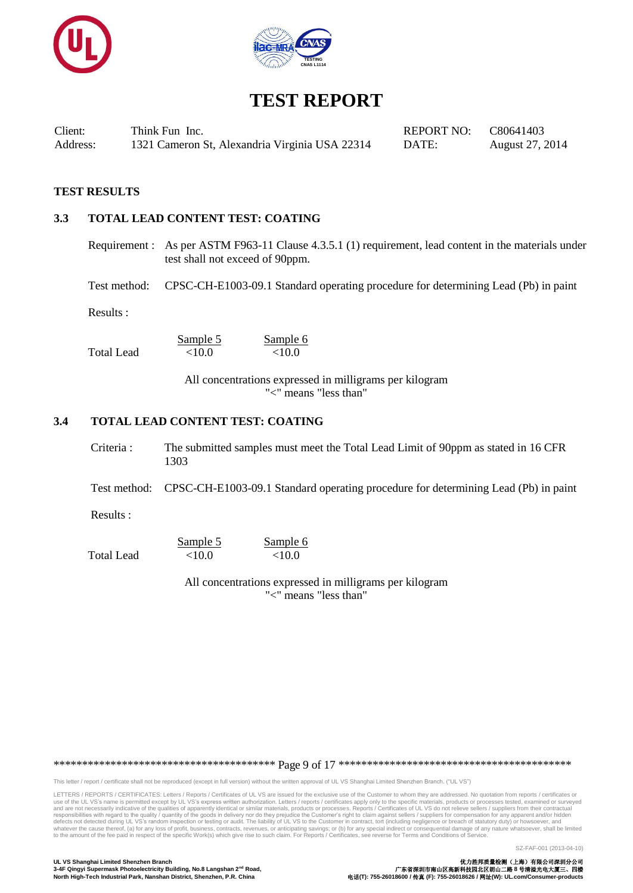



Client: Think Fun Inc. REPORT NO: C80641403 Address: 1321 Cameron St, Alexandria Virginia USA 22314 DATE: August 27, 2014

#### **TEST RESULTS**

#### **3.3 TOTAL LEAD CONTENT TEST: COATING**

Requirement : As per ASTM F963-11 Clause 4.3.5.1 (1) requirement, lead content in the materials under test shall not exceed of 90ppm.

Test method: CPSC-CH-E1003-09.1 Standard operating procedure for determining Lead (Pb) in paint

Results :

Total Lead  $\leq 10.0$   $\leq 10.0$ 

Sample 5 Sample 6

All concentrations expressed in milligrams per kilogram "<" means "less than"

## **3.4 TOTAL LEAD CONTENT TEST: COATING**

Criteria : The submitted samples must meet the Total Lead Limit of 90ppm as stated in 16 CFR 1303

Test method: CPSC-CH-E1003-09.1 Standard operating procedure for determining Lead (Pb) in paint

Results :

 $\frac{\text{Sample 5}}{\text{100}}$   $\frac{\text{Sample 6}}{\text{100}}$ Total Lead <10.0

> All concentrations expressed in milligrams per kilogram "<" means "less than"

\*\*\*\*\*\*\*\*\*\*\*\*\*\*\*\*\*\*\*\*\*\*\*\*\*\*\*\*\*\*\*\*\*\*\*\*\*\*\* Page 9 of 17 \*\*\*\*\*\*\*\*\*\*\*\*\*\*\*\*\*\*\*\*\*\*\*\*\*\*\*\*\*\*\*\*\*\*\*\*\*\*\*\*\*

This letter / report / certificate shall not be reproduced (except in full version) without the written approval of UL VS Shanghai Limited Shenzhen Branch. ("UL VS")

LETTERS / REPORTS / CERTIFICATES: Letters / Reports / Certificates of UL VS are issued for the exclusive use of the Customer to whom they are addressed. No quotation from reports / certificates or use of the UL VS's name is permitted except by UL VS's express written authorization. Letters/reports/certificates apply only to the specific materials, products or processes tested, examined or surveyed<br>and are not necess

SZ-FAF-001 (2013-04-10)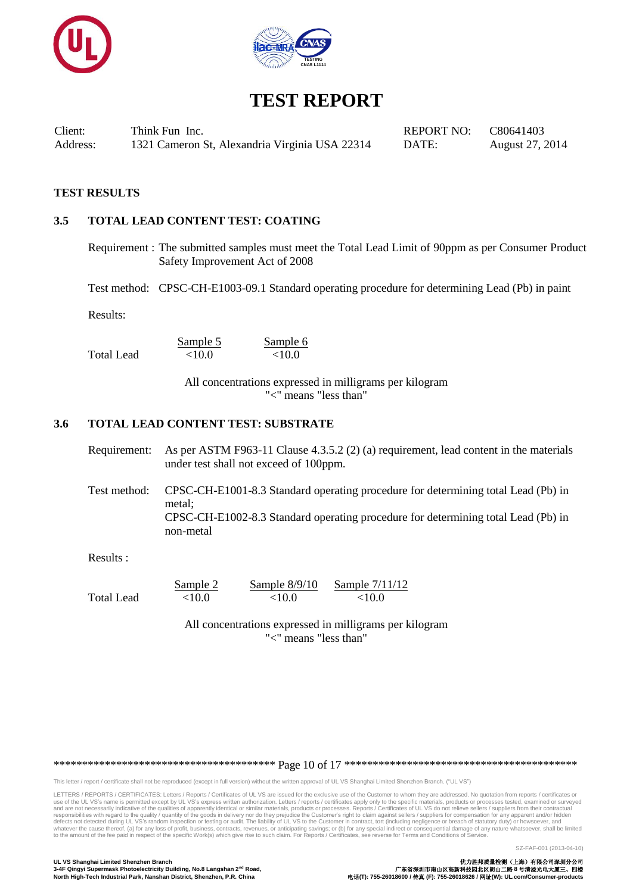



Client: Think Fun Inc. REPORT NO: C80641403 Address: 1321 Cameron St, Alexandria Virginia USA 22314 DATE: August 27, 2014

## **TEST RESULTS**

## **3.5 TOTAL LEAD CONTENT TEST: COATING**

Requirement : The submitted samples must meet the Total Lead Limit of 90ppm as per Consumer Product Safety Improvement Act of 2008

Test method: CPSC-CH-E1003-09.1 Standard operating procedure for determining Lead (Pb) in paint

Results:

Total Lead  $\leq 10.0$   $\leq 10.0$ 

Sample 5 Sample 6

All concentrations expressed in milligrams per kilogram "<" means "less than"

#### **3.6 TOTAL LEAD CONTENT TEST: SUBSTRATE**

| Requirement: As per ASTM F963-11 Clause 4.3.5.2 (2) (a) requirement, lead content in the materials |
|----------------------------------------------------------------------------------------------------|
| under test shall not exceed of 100ppm.                                                             |

Test method: CPSC-CH-E1001-8.3 Standard operating procedure for determining total Lead (Pb) in metal; CPSC-CH-E1002-8.3 Standard operating procedure for determining total Lead (Pb) in non-metal

Results :

|            | Sample 2  | Sample $8/9/10$ | Sample 7/11/12 |
|------------|-----------|-----------------|----------------|
| Total Lead | ${<}10.0$ | ${<}10.0$       | ${<}10.0$      |

All concentrations expressed in milligrams per kilogram "<" means "less than"

\*\*\*\*\*\*\*\*\*\*\*\*\*\*\*\*\*\*\*\*\*\*\*\*\*\*\*\*\*\*\*\*\*\*\*\*\*\*\* Page 10 of 17 \*\*\*\*\*\*\*\*\*\*\*\*\*\*\*\*\*\*\*\*\*\*\*\*\*\*\*\*\*\*\*\*\*\*\*\*\*\*\*\*\*

This letter / report / certificate shall not be reproduced (except in full version) without the written approval of UL VS Shanghai Limited Shenzhen Branch. ("UL VS")

LETTERS / REPORTS / CERTIFICATES: Letters / Reports / Certificates of UL VS are issued for the exclusive use of the Customer to whom they are addressed. No quotation from reports / certificates or use of the UL VS's name is permitted except by UL VS's express written authorization. Letters/reports/certificates apply only to the specific materials, products or processes tested, examined or surveyed<br>and are not necess

SZ-FAF-001 (2013-04-10)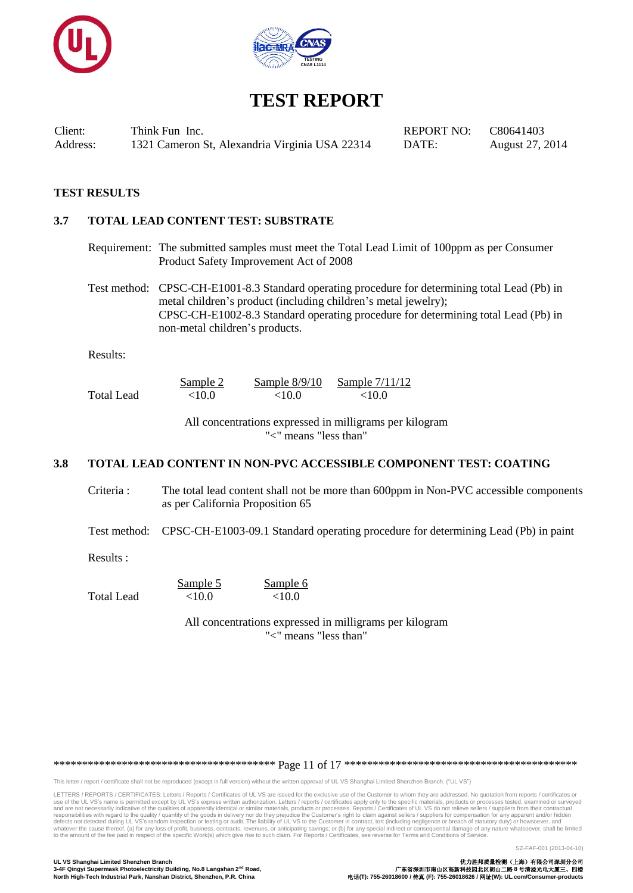



Client: Think Fun Inc. REPORT NO: C80641403 Address: 1321 Cameron St, Alexandria Virginia USA 22314 DATE: August 27, 2014

## **TEST RESULTS**

#### **3.7 TOTAL LEAD CONTENT TEST: SUBSTRATE**

Requirement: The submitted samples must meet the Total Lead Limit of 100ppm as per Consumer Product Safety Improvement Act of 2008

Test method: CPSC-CH-E1001-8.3 Standard operating procedure for determining total Lead (Pb) in metal children's product (including children's metal jewelry); CPSC-CH-E1002-8.3 Standard operating procedure for determining total Lead (Pb) in non-metal children's products.

Results:

|            | Sample 2  | Sample $8/9/10$ | Sample 7/11/12 |
|------------|-----------|-----------------|----------------|
| Total Lead | ${<}10.0$ | ${<}10.0$       | ${<}10.0$      |

All concentrations expressed in milligrams per kilogram "<" means "less than"

## **3.8 TOTAL LEAD CONTENT IN NON-PVC ACCESSIBLE COMPONENT TEST: COATING**

Criteria : The total lead content shall not be more than 600ppm in Non-PVC accessible components as per California Proposition 65

Test method: CPSC-CH-E1003-09.1 Standard operating procedure for determining Lead (Pb) in paint

Results :

|            | Sample 5  | Sample 6  |
|------------|-----------|-----------|
| Total Lead | ${<}10.0$ | ${<}10.0$ |

All concentrations expressed in milligrams per kilogram "<" means "less than"

\*\*\*\*\*\*\*\*\*\*\*\*\*\*\*\*\*\*\*\*\*\*\*\*\*\*\*\*\*\*\*\*\*\*\*\*\*\*\* Page 11 of 17 \*\*\*\*\*\*\*\*\*\*\*\*\*\*\*\*\*\*\*\*\*\*\*\*\*\*\*\*\*\*\*\*\*\*\*\*\*\*\*\*\*

This letter / report / certificate shall not be reproduced (except in full version) without the written approval of UL VS Shanghai Limited Shenzhen Branch. ("UL VS")

LETTERS / REPORTS / CERTIFICATES: Letters / Reports / Certificates of UL VS are issued for the exclusive use of the Customer to whom they are addressed. No quotation from reports / certificates or use of the UL VS's name is permitted except by UL VS's express written authorization. Letters/reports/certificates apply only to the specific materials, products or processes tested, examined or surveyed<br>and are not necess

SZ-FAF-001 (2013-04-10)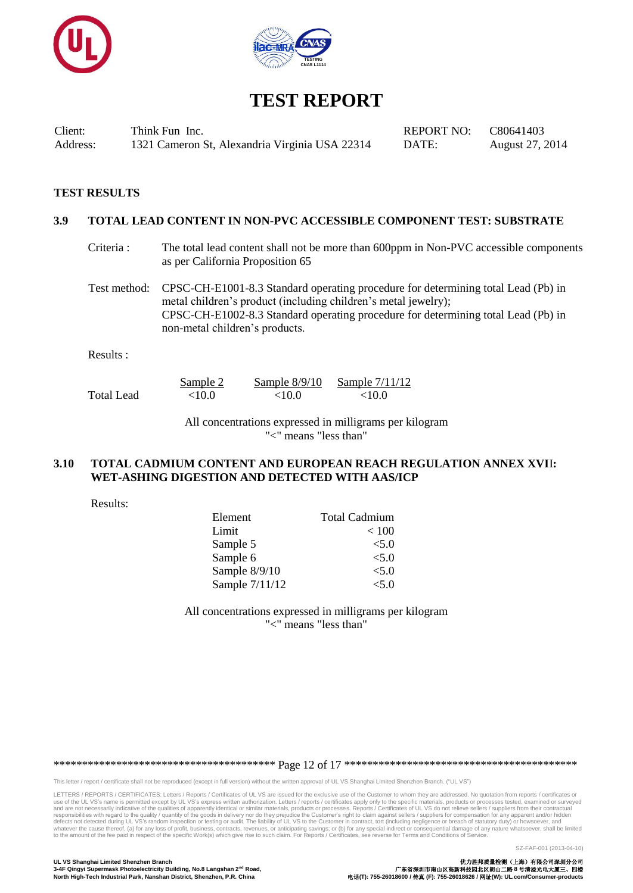



Client: Think Fun Inc. REPORT NO: C80641403 Address: 1321 Cameron St, Alexandria Virginia USA 22314 DATE: August 27, 2014

#### **TEST RESULTS**

#### **3.9 TOTAL LEAD CONTENT IN NON-PVC ACCESSIBLE COMPONENT TEST: SUBSTRATE**

Criteria : The total lead content shall not be more than 600ppm in Non-PVC accessible components as per California Proposition 65

Test method: CPSC-CH-E1001-8.3 Standard operating procedure for determining total Lead (Pb) in metal children's product (including children's metal jewelry); CPSC-CH-E1002-8.3 Standard operating procedure for determining total Lead (Pb) in non-metal children's products.

Results :

|            | Sample 2  | Sample $8/9/10$ | Sample 7/11/12 |
|------------|-----------|-----------------|----------------|
| Total Lead | ${<}10.0$ | ${<}10.0$       | ${<}10.0$      |

All concentrations expressed in milligrams per kilogram "<" means "less than"

#### **3.10 TOTAL CADMIUM CONTENT AND EUROPEAN REACH REGULATION ANNEX XVI**I**: WET-ASHING DIGESTION AND DETECTED WITH AAS/ICP**

Results:

| Element        | <b>Total Cadmium</b> |
|----------------|----------------------|
| Limit          | < 100                |
| Sample 5       | < 5.0                |
| Sample 6       | < 5.0                |
| Sample 8/9/10  | < 5.0                |
| Sample 7/11/12 | < 5.0                |

All concentrations expressed in milligrams per kilogram "<" means "less than"

\*\*\*\*\*\*\*\*\*\*\*\*\*\*\*\*\*\*\*\*\*\*\*\*\*\*\*\*\*\*\*\*\*\*\*\*\*\*\* Page 12 of 17 \*\*\*\*\*\*\*\*\*\*\*\*\*\*\*\*\*\*\*\*\*\*\*\*\*\*\*\*\*\*\*\*\*\*\*\*\*\*\*\*\*

This letter / report / certificate shall not be reproduced (except in full version) without the written approval of UL VS Shanghai Limited Shenzhen Branch. ("UL VS")

LETTERS / REPORTS / CERTIFICATES: Letters / Reports / Certificates of UL VS are issued for the exclusive use of the Customer to whom they are addressed. No quotation from reports / certificates or use of the UL VS's name is permitted except by UL VS's express written authorization. Letters/reports/certificates apply only to the specific materials, products or processes tested, examined or surveyed<br>and are not necess

SZ-FAF-001 (2013-04-10)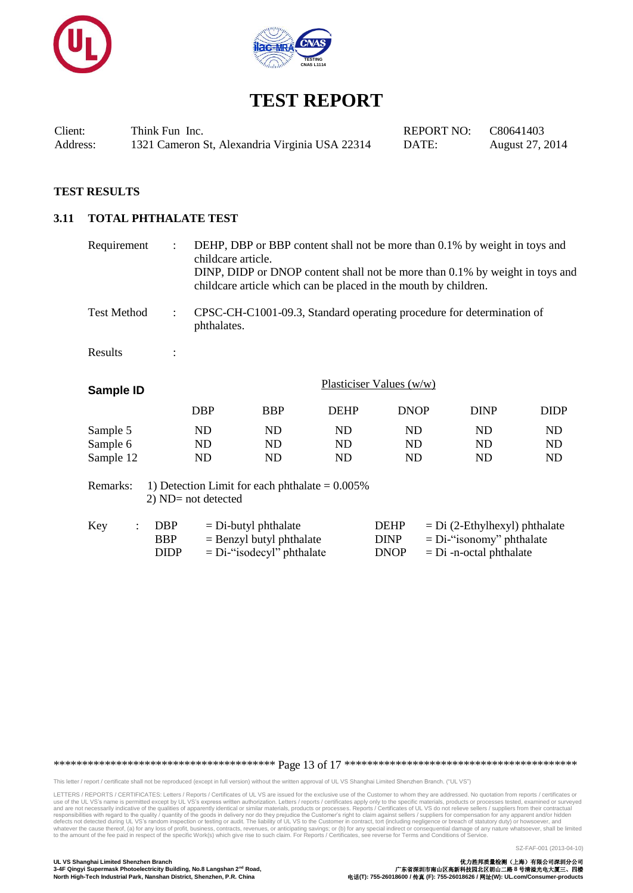



Client: Think Fun Inc. REPORT NO: C80641403 Address: 1321 Cameron St, Alexandria Virginia USA 22314 DATE: August 27, 2014

## **TEST RESULTS**

#### **3.11 TOTAL PHTHALATE TEST**

| Requirement                       | $\ddot{\phantom{a}}$                                                       | DEHP, DBP or BBP content shall not be more than 0.1% by weight in toys and<br>childcare article.<br>DINP, DIDP or DNOP content shall not be more than 0.1% by weight in toys and<br>childcare article which can be placed in the mouth by children. |                |                                           |                                                                                             |                |  |  |
|-----------------------------------|----------------------------------------------------------------------------|-----------------------------------------------------------------------------------------------------------------------------------------------------------------------------------------------------------------------------------------------------|----------------|-------------------------------------------|---------------------------------------------------------------------------------------------|----------------|--|--|
| <b>Test Method</b>                | $\ddot{\phantom{0}}$                                                       | CPSC-CH-C1001-09.3, Standard operating procedure for determination of<br>phthalates.                                                                                                                                                                |                |                                           |                                                                                             |                |  |  |
| Results                           |                                                                            |                                                                                                                                                                                                                                                     |                |                                           |                                                                                             |                |  |  |
| Sample ID                         |                                                                            |                                                                                                                                                                                                                                                     |                | Plasticiser Values (w/w)                  |                                                                                             |                |  |  |
|                                   | <b>DBP</b>                                                                 | <b>BBP</b>                                                                                                                                                                                                                                          | <b>DEHP</b>    | <b>DNOP</b>                               | <b>DINP</b>                                                                                 | <b>DIDP</b>    |  |  |
| Sample 5<br>Sample 6<br>Sample 12 | ND<br>N <sub>D</sub><br>ND                                                 | ND<br>ND<br>ND                                                                                                                                                                                                                                      | ND<br>ND<br>ND | ND<br>ND<br>ND                            | ND<br>ND<br>ND                                                                              | ND<br>ND<br>ND |  |  |
| Remarks:                          | 1) Detection Limit for each phthalate $= 0.005\%$<br>$2)$ ND= not detected |                                                                                                                                                                                                                                                     |                |                                           |                                                                                             |                |  |  |
| Key<br>$\ddot{\cdot}$             | <b>DBP</b><br><b>BBP</b><br><b>DIDP</b>                                    | $=$ Di-butyl phthalate<br>$=$ Benzyl butyl phthalate<br>$= Di$ -"isodecyl" phthalate                                                                                                                                                                |                | <b>DEHP</b><br><b>DINP</b><br><b>DNOP</b> | $= Di (2-Ethylhexyl)$ phthalate<br>$= Di$ -"isonomy" phthalate<br>$= Di$ -n-octal phthalate |                |  |  |

\*\*\*\*\*\*\*\*\*\*\*\*\*\*\*\*\*\*\*\*\*\*\*\*\*\*\*\*\*\*\*\*\*\*\*\*\*\*\* Page 13 of 17 \*\*\*\*\*\*\*\*\*\*\*\*\*\*\*\*\*\*\*\*\*\*\*\*\*\*\*\*\*\*\*\*\*\*\*\*\*\*\*\*\*

This letter / report / certificate shall not be reproduced (except in full version) without the written approval of UL VS Shanghai Limited Shenzhen Branch. ("UL VS")

LETTERS / REPORTS / CERTIFICATES: Letters / Reports / Certificates of UL VS are issued for the exclusive use of the Customer to whom they are addressed. No quotation from reports / certificates or use of the UL VS's name is permitted except by UL VS's express written authorization. Letters/reports/certificates apply only to the specific materials, products or processes tested, examined or surveyed<br>and are not necess

SZ-FAF-001 (2013-04-10)

**3-4F Qingyi Supermask Photoelectricity Building, No.8 Langshan 2<sup>nd</sup> Road, <br>3-4F Qingyi Supermask Photoelectricity Building, No.8 Langshan 2<sup>nd</sup> Road, <br>North High-Tech Industrial Park, Nanshan District, Shenzhen, P.R. Chi**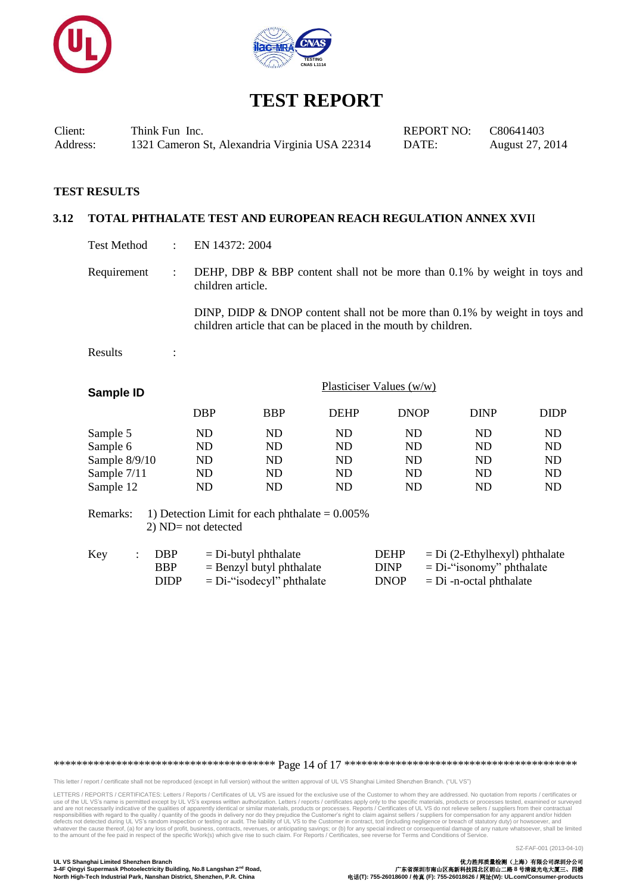



Client: Think Fun Inc. REPORT NO: C80641403 Address: 1321 Cameron St, Alexandria Virginia USA 22314 DATE: August 27, 2014

#### **TEST RESULTS**

## **3.12 TOTAL PHTHALATE TEST AND EUROPEAN REACH REGULATION ANNEX XVI**I

- Test Method : EN 14372: 2004
- Requirement : DEHP, DBP & BBP content shall not be more than 0.1% by weight in toys and children article.

DINP, DIDP & DNOP content shall not be more than 0.1% by weight in toys and children article that can be placed in the mouth by children.

Results :

| Sample ID       |            | Plasticiser Values $(w/w)$ |             |             |             |             |  |
|-----------------|------------|----------------------------|-------------|-------------|-------------|-------------|--|
|                 | <b>DBP</b> | <b>BBP</b>                 | <b>DEHP</b> | <b>DNOP</b> | <b>DINP</b> | <b>DIDP</b> |  |
| Sample 5        | ND         | ND                         | ND          | ND          | ND          | ND          |  |
| Sample 6        | ND         | ND                         | ND          | ND          | ND          | ND          |  |
| Sample $8/9/10$ | ND         | ND                         | ND          | ND          | ND          | <b>ND</b>   |  |
| Sample 7/11     | ND         | ND                         | ND          | ND          | ND          | ND          |  |
| Sample 12       | ND         | ND                         | ND          | ND          | ND          | ND          |  |

Remarks: 1) Detection Limit for each phthalate  $= 0.005\%$ 2) ND= not detected

| Key | : DBP      | $=$ Di-butyl phthalate       | <b>DEHP</b> | $=$ Di (2-Ethylhexyl) phthalate |
|-----|------------|------------------------------|-------------|---------------------------------|
|     | <b>BBP</b> | $=$ Benzyl butyl phthalate   | <b>DINP</b> | $= Di$ -"isonomy" phthalate     |
|     | DIDP       | $= Di$ -"isodecyl" phthalate | DNOP        | $=$ Di -n-octal phthalate       |

\*\*\*\*\*\*\*\*\*\*\*\*\*\*\*\*\*\*\*\*\*\*\*\*\*\*\*\*\*\*\*\*\*\*\*\*\*\*\* Page 14 of 17 \*\*\*\*\*\*\*\*\*\*\*\*\*\*\*\*\*\*\*\*\*\*\*\*\*\*\*\*\*\*\*\*\*\*\*\*\*\*\*\*\*

This letter / report / certificate shall not be reproduced (except in full version) without the written approval of UL VS Shanghai Limited Shenzhen Branch. ("UL VS")

LETTERS / REPORTS / CERTIFICATES: Letters / Reports / Certificates of UL VS are issued for the exclusive use of the Customer to whom they are addressed. No quotation from reports / certificates or use of the UL VS's name is permitted except by UL VS's express written authorization. Letters/reports/certificates apply only to the specific materials, products or processes tested, examined or surveyed<br>and are not necess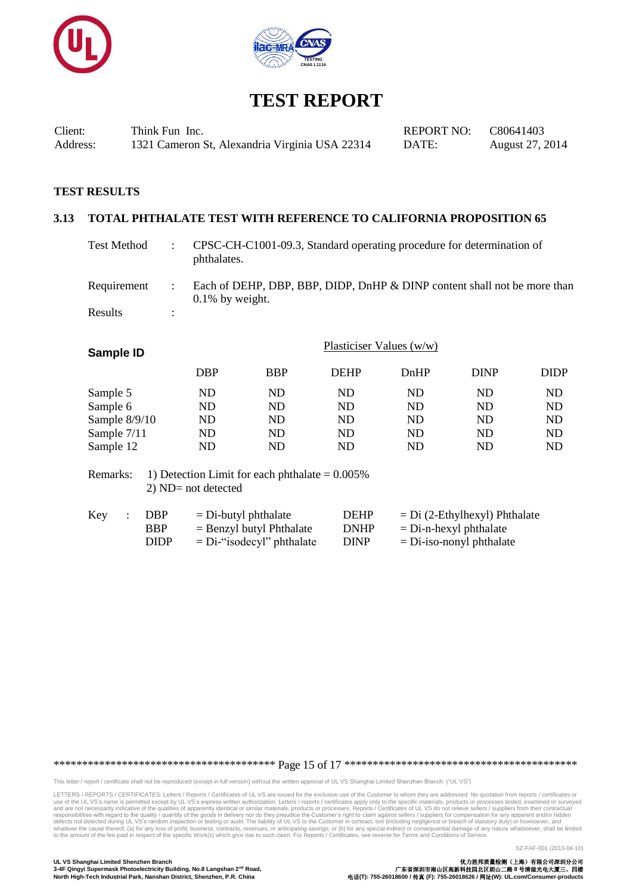



Client: Think Fun Inc. REPORT NO: C80641403 Address: 1321 Cameron St, Alexandria Virginia USA 22314 DATE: August 27, 2014

## **TEST RESULTS**

## **3.13 TOTAL PHTHALATE TEST WITH REFERENCE TO CALIFORNIA PROPOSITION 65**

| Test Method |   | CPSC-CH-C1001-09.3, Standard operating procedure for determination of<br>phthalates.           |
|-------------|---|------------------------------------------------------------------------------------------------|
| Requirement |   | Each of DEHP, DBP, BBP, DIDP, DnHP & DINP content shall not be more than<br>$0.1\%$ by weight. |
| Results     | ٠ |                                                                                                |

| Sample ID              |                                                          |            | Plasticiser Values $(w/w)$ |      |             |             |
|------------------------|----------------------------------------------------------|------------|----------------------------|------|-------------|-------------|
|                        | <b>DBP</b>                                               | <b>BBP</b> | <b>DEHP</b>                | DnHP | <b>DINP</b> | <b>DIDP</b> |
| Sample 5               | ND                                                       | <b>ND</b>  | ND                         | ND   | ND          | <b>ND</b>   |
| Sample 6               | ND                                                       | ND         | ND                         | ND   | ND          | ND          |
| Sample 8/9/10          | ND                                                       | ND         | <b>ND</b>                  | ND   | ND          | ND          |
| Sample 7/11            | ND                                                       | ND         | ND                         | ND   | ND          | ND          |
| Sample 12              | ND                                                       | ND         | ND                         | ND   | ND          | ND          |
| $D$ among $\mathbb{R}$ | $\sim 1$ ) Detection Limit for each phtholote $= 0.0050$ |            |                            |      |             |             |

Remarks: 1) Detection Limit for each phthalate  $= 0.005\%$ 2) ND= not detected

| Key | DBP         | $=$ Di-butyl phthalate       | <b>DEHP</b> | $= Di (2-Ethylhexyl) Phthalate$ |
|-----|-------------|------------------------------|-------------|---------------------------------|
|     | <b>BBP</b>  | $=$ Benzyl butyl Phthalate   | <b>DNHP</b> | $=$ Di-n-hexyl phthalate        |
|     | <b>DIDP</b> | $= Di$ -"isodecyl" phthalate | <b>DINP</b> | $=$ Di-iso-nonyl phthalate      |

\*\*\*\*\*\*\*\*\*\*\*\*\*\*\*\*\*\*\*\*\*\*\*\*\*\*\*\*\*\*\*\*\*\*\*\*\*\*\* Page 15 of 17 \*\*\*\*\*\*\*\*\*\*\*\*\*\*\*\*\*\*\*\*\*\*\*\*\*\*\*\*\*\*\*\*\*\*\*\*\*\*\*\*\*

This letter / report / certificate shall not be reproduced (except in full version) without the written approval of UL VS Shanghai Limited Shenzhen Branch. ("UL VS")

LETTERS / REPORTS / CERTIFICATES: Letters / Reports / Certificates of UL VS are issued for the exclusive use of the Customer to whom they are addressed. No quotation from reports / certificates or use of the UL VS's name is permitted except by UL VS's express written authorization. Letters/reports/certificates apply only to the specific materials, products or processes tested, examined or surveyed<br>and are not necess

SZ-FAF-001 (2013-04-10)

**3-4F Qingyi Supermask Photoelectricity Building, No.8 Langshan 2<sup>nd</sup> Road, <br>3-4F Qingyi Supermask Photoelectricity Building, No.8 Langshan 2<sup>nd</sup> Road, <br>North High-Tech Industrial Park, Nanshan District, Shenzhen, P.R. Chi**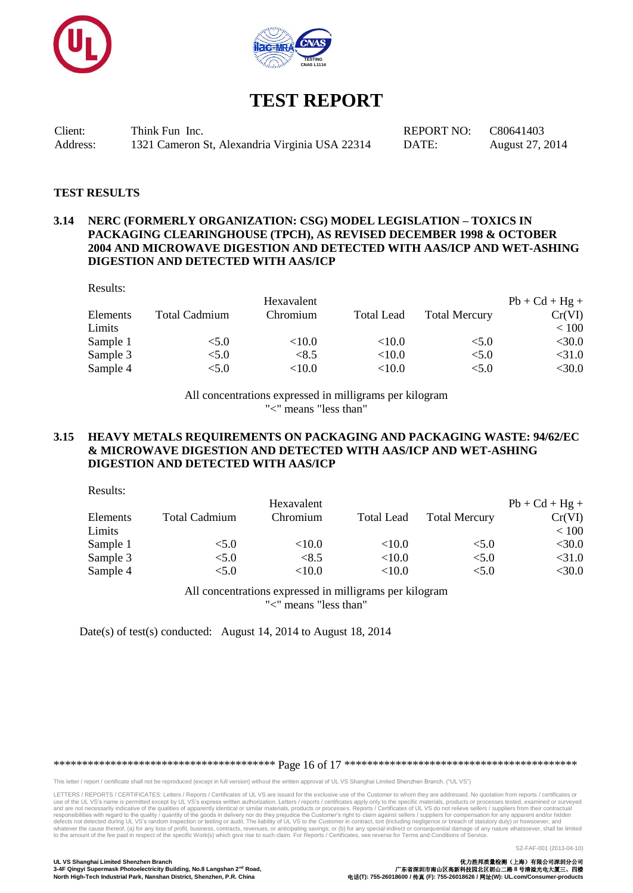



Client: Think Fun Inc. REPORT NO: C80641403 Address: 1321 Cameron St, Alexandria Virginia USA 22314 DATE: August 27, 2014

#### **TEST RESULTS**

## **3.14 NERC (FORMERLY ORGANIZATION: CSG) MODEL LEGISLATION – TOXICS IN PACKAGING CLEARINGHOUSE (TPCH), AS REVISED DECEMBER 1998 & OCTOBER 2004 AND MICROWAVE DIGESTION AND DETECTED WITH AAS/ICP AND WET-ASHING DIGESTION AND DETECTED WITH AAS/ICP**

Results:

 $D_{\text{scat}}$ 

|          |                      | Hexavalent |                   |                      | $Pb + Cd + Hg +$ |
|----------|----------------------|------------|-------------------|----------------------|------------------|
| Elements | <b>Total Cadmium</b> | Chromium   | <b>Total Lead</b> | <b>Total Mercury</b> | Cr(VI)           |
| Limits   |                      |            |                   |                      | < 100            |
| Sample 1 | < 5.0                | ${<}10.0$  | ${<}10.0$         | < 5.0                | $<$ 30.0         |
| Sample 3 | < 5.0                | <8.5       | ${<}10.0$         | < 5.0                | $<$ 31.0         |
| Sample 4 | < 5.0                | $<$ 10.0   | ${<}10.0$         | < 5.0                | $<$ 30.0         |
|          |                      |            |                   |                      |                  |

All concentrations expressed in milligrams per kilogram "<" means "less than"

#### **3.15 HEAVY METALS REQUIREMENTS ON PACKAGING AND PACKAGING WASTE: 94/62/EC & MICROWAVE DIGESTION AND DETECTED WITH AAS/ICP AND WET-ASHING DIGESTION AND DETECTED WITH AAS/ICP**

| RESUITS. |                      |            |                   |                      |                  |
|----------|----------------------|------------|-------------------|----------------------|------------------|
|          |                      | Hexavalent |                   |                      | $Pb + Cd + Hg +$ |
| Elements | <b>Total Cadmium</b> | Chromium   | <b>Total Lead</b> | <b>Total Mercury</b> | Cr(VI)           |
| Limits   |                      |            |                   |                      | < 100            |
| Sample 1 | < 5.0                | ${<}10.0$  | ${<}10.0$         | < 5.0                | $<$ 30.0         |
| Sample 3 | < 5.0                | <8.5       | $<$ 10.0          | < 5.0                | $<$ 31.0         |
| Sample 4 | < 5.0                | ${<}10.0$  | ${<}10.0$         | < 5.0                | $<$ 30.0         |
|          |                      |            |                   |                      |                  |

All concentrations expressed in milligrams per kilogram "<" means "less than"

Date(s) of test(s) conducted: August 14, 2014 to August 18, 2014

\*\*\*\*\*\*\*\*\*\*\*\*\*\*\*\*\*\*\*\*\*\*\*\*\*\*\*\*\*\*\*\*\*\*\*\*\*\*\* Page 16 of 17 \*\*\*\*\*\*\*\*\*\*\*\*\*\*\*\*\*\*\*\*\*\*\*\*\*\*\*\*\*\*\*\*\*\*\*\*\*\*\*\*\*

This letter / report / certificate shall not be reproduced (except in full version) without the written approval of UL VS Shanghai Limited Shenzhen Branch. ("UL VS")

LETTERS / REPORTS / CERTIFICATES: Letters / Reports / Certificates of UL VS are issued for the exclusive use of the Customer to whom they are addressed. No quotation from reports / certificates or use of the UL VS's name is permitted except by UL VS's express written authorization. Letters/reports/certificates apply only to the specific materials, products or processes tested, examined or surveyed<br>and are not necess

SZ-FAF-001 (2013-04-10)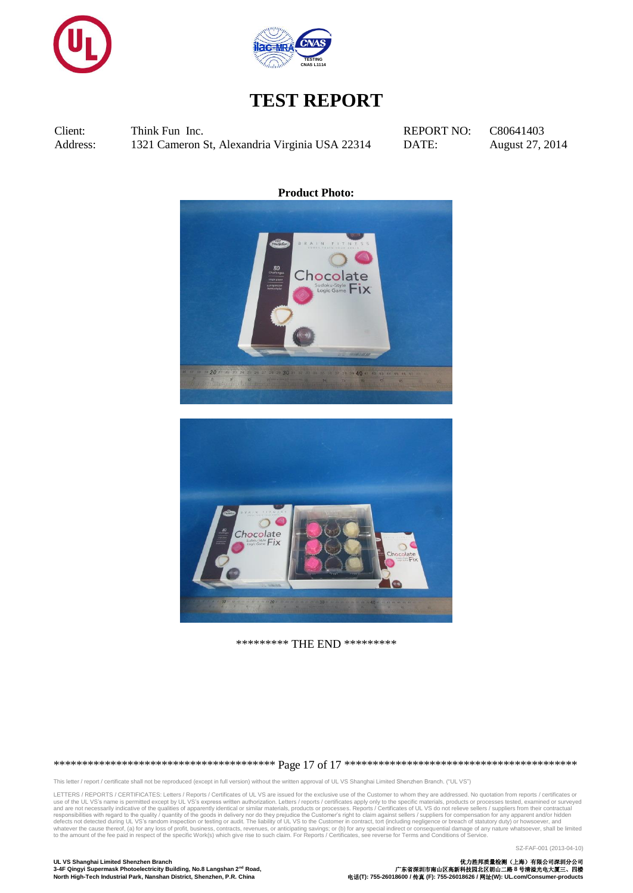



Client: Think Fun Inc. REPORT NO: C80641403 Address: 1321 Cameron St, Alexandria Virginia USA 22314 DATE: August 27, 2014

**Product Photo:**





\*\*\*\*\*\*\*\*\* THE END \*\*\*\*\*\*\*\*\*

\*\*\*\*\*\*\*\*\*\*\*\*\*\*\*\*\*\*\*\*\*\*\*\*\*\*\*\*\*\*\*\*\*\*\*\*\*\*\* Page 17 of 17 \*\*\*\*\*\*\*\*\*\*\*\*\*\*\*\*\*\*\*\*\*\*\*\*\*\*\*\*\*\*\*\*\*\*\*\*\*\*\*\*\*

This letter / report / certificate shall not be reproduced (except in full version) without the written approval of UL VS Shanghai Limited Shenzhen Branch. ("UL VS")

LETTERS / REPORTS / CERTIFICATES: Letters / Reports / Certificates of UL VS are issued for the exclusive use of the Customer to whom they are addressed. No quotation from reports / certificates or use of the UL VS's name is permitted except by UL VS's express written authorization. Letters/reports/certificates apply only to the specific materials, products or processes tested, examined or surveyed<br>and are not necess

SZ-FAF-001 (2013-04-10)

**3-4F Qingyi Supermask Photoelectricity Building, No.8 Langshan 2<sup>nd</sup> Road, <br>3-4F Qingyi Supermask Photoelectricity Building, No.8 Langshan 2<sup>nd</sup> Road, <br>North High-Tech Industrial Park, Nanshan District, Shenzhen, P.R. Chi** 

**UL VS Shanghai Limited Shenzhen Branch** 优力胜邦质量检测(上海)有限公司深圳分公司 **North High-Tech Industrial Park, Nanshan District, Shenzhen, P.R. China** 电话**(T): 755-26018600 /** 传真 **(F): 755-26018626 /** 网址**(W): UL.com/Consumer-products**